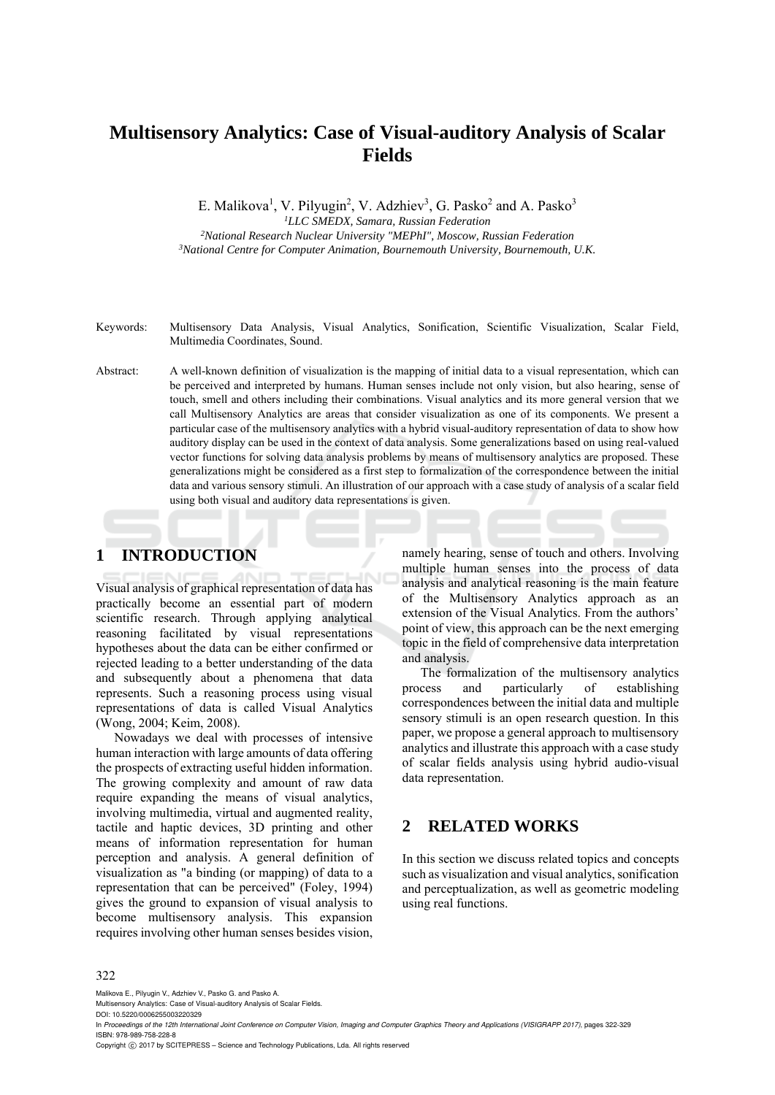# **Multisensory Analytics: Case of Visual-auditory Analysis of Scalar Fields**

E. Malikova<sup>1</sup>, V. Pilyugin<sup>2</sup>, V. Adzhiev<sup>3</sup>, G. Pasko<sup>2</sup> and A. Pasko<sup>3</sup>

*1LLC SMEDX, Samara, Russian Federation 2National Research Nuclear University "MEPhI", Moscow, Russian Federation 3National Centre for Computer Animation, Bournemouth University, Bournemouth, U.K.* 

Keywords: Multisensory Data Analysis, Visual Analytics, Sonification, Scientific Visualization, Scalar Field, Multimedia Coordinates, Sound.

Abstract: A well-known definition of visualization is the mapping of initial data to a visual representation, which can be perceived and interpreted by humans. Human senses include not only vision, but also hearing, sense of touch, smell and others including their combinations. Visual analytics and its more general version that we call Multisensory Analytics are areas that consider visualization as one of its components. We present a particular case of the multisensory analytics with a hybrid visual-auditory representation of data to show how auditory display can be used in the context of data analysis. Some generalizations based on using real-valued vector functions for solving data analysis problems by means of multisensory analytics are proposed. These generalizations might be considered as a first step to formalization of the correspondence between the initial data and various sensory stimuli. An illustration of our approach with a case study of analysis of a scalar field using both visual and auditory data representations is given.

# **1 INTRODUCTION**

Visual analysis of graphical representation of data has practically become an essential part of modern scientific research. Through applying analytical reasoning facilitated by visual representations hypotheses about the data can be either confirmed or rejected leading to a better understanding of the data and subsequently about a phenomena that data represents. Such a reasoning process using visual representations of data is called Visual Analytics (Wong, 2004; Keim, 2008).

Nowadays we deal with processes of intensive human interaction with large amounts of data offering the prospects of extracting useful hidden information. The growing complexity and amount of raw data require expanding the means of visual analytics, involving multimedia, virtual and augmented reality, tactile and haptic devices, 3D printing and other means of information representation for human perception and analysis. A general definition of visualization as "a binding (or mapping) of data to a representation that can be perceived" (Foley, 1994) gives the ground to expansion of visual analysis to become multisensory analysis. This expansion requires involving other human senses besides vision,

namely hearing, sense of touch and others. Involving multiple human senses into the process of data analysis and analytical reasoning is the main feature of the Multisensory Analytics approach as an extension of the Visual Analytics. From the authors' point of view, this approach can be the next emerging topic in the field of comprehensive data interpretation and analysis.

The formalization of the multisensory analytics process and particularly of establishing correspondences between the initial data and multiple sensory stimuli is an open research question. In this paper, we propose a general approach to multisensory analytics and illustrate this approach with a case study of scalar fields analysis using hybrid audio-visual data representation.

### **2 RELATED WORKS**

In this section we discuss related topics and concepts such as visualization and visual analytics, sonification and perceptualization, as well as geometric modeling using real functions.

#### 322

Malikova E., Pilyugin V., Adzhiev V., Pasko G. and Pasko A.

Multisensory Analytics: Case of Visual-auditory Analysis of Scalar Fields.

DOI: 10.5220/0006255003220329

In *Proceedings of the 12th International Joint Conference on Computer Vision, Imaging and Computer Graphics Theory and Applications (VISIGRAPP 2017)*, pages 322-329 ISBN: 978-989-758-228-8

Copyright © 2017 by SCITEPRESS - Science and Technology Publications, Lda. All rights reserved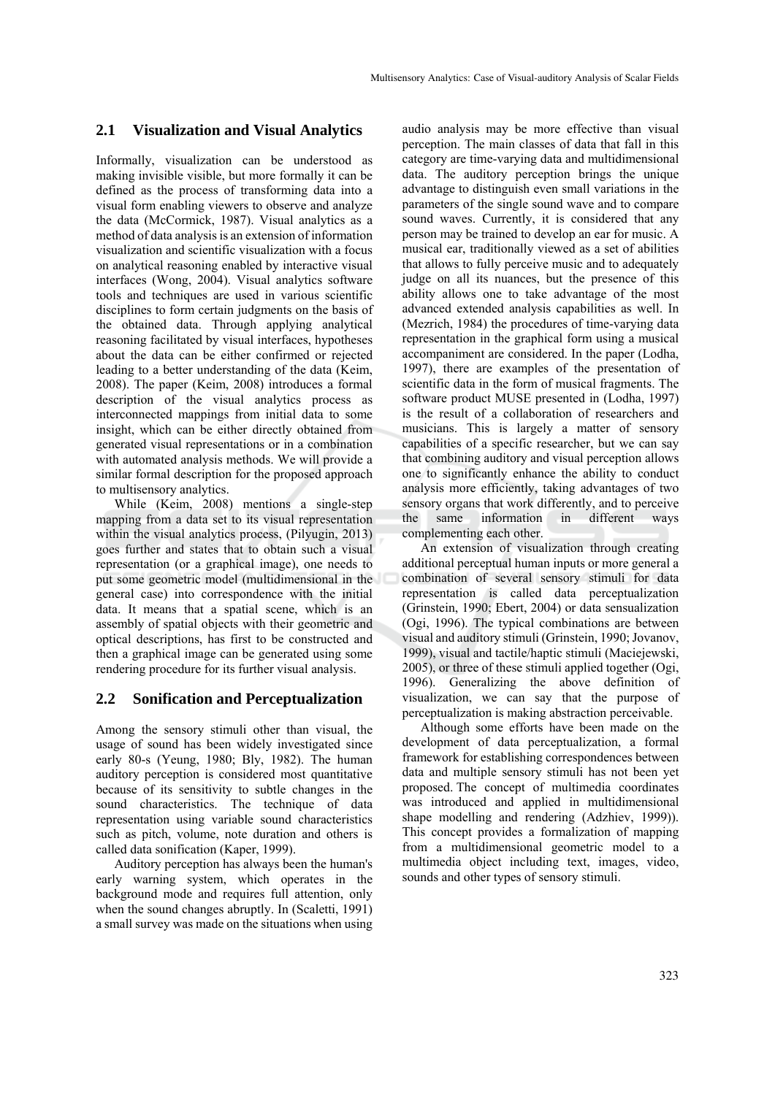#### **2.1 Visualization and Visual Analytics**

Informally, visualization can be understood as making invisible visible, but more formally it can be defined as the process of transforming data into a visual form enabling viewers to observe and analyze the data (McCormick, 1987). Visual analytics as a method of data analysis is an extension of information visualization and scientific visualization with a focus on analytical reasoning enabled by interactive visual interfaces (Wong, 2004). Visual analytics software tools and techniques are used in various scientific disciplines to form certain judgments on the basis of the obtained data. Through applying analytical reasoning facilitated by visual interfaces, hypotheses about the data can be either confirmed or rejected leading to a better understanding of the data (Keim, 2008). The paper (Keim, 2008) introduces a formal description of the visual analytics process as interconnected mappings from initial data to some insight, which can be either directly obtained from generated visual representations or in a combination with automated analysis methods. We will provide a similar formal description for the proposed approach to multisensory analytics.

While (Keim, 2008) mentions a single-step mapping from a data set to its visual representation within the visual analytics process, (Pilyugin, 2013) goes further and states that to obtain such a visual representation (or a graphical image), one needs to put some geometric model (multidimensional in the general case) into correspondence with the initial data. It means that a spatial scene, which is an assembly of spatial objects with their geometric and optical descriptions, has first to be constructed and then a graphical image can be generated using some rendering procedure for its further visual analysis.

#### **2.2 Sonification and Perceptualization**

Among the sensory stimuli other than visual, the usage of sound has been widely investigated since early 80-s (Yeung, 1980; Bly, 1982). The human auditory perception is considered most quantitative because of its sensitivity to subtle changes in the sound characteristics. The technique of data representation using variable sound characteristics such as pitch, volume, note duration and others is called data sonification (Kaper, 1999).

Auditory perception has always been the human's early warning system, which operates in the background mode and requires full attention, only when the sound changes abruptly. In (Scaletti, 1991) a small survey was made on the situations when using

audio analysis may be more effective than visual perception. The main classes of data that fall in this category are time-varying data and multidimensional data. The auditory perception brings the unique advantage to distinguish even small variations in the parameters of the single sound wave and to compare sound waves. Currently, it is considered that any person may be trained to develop an ear for music. A musical ear, traditionally viewed as a set of abilities that allows to fully perceive music and to adequately judge on all its nuances, but the presence of this ability allows one to take advantage of the most advanced extended analysis capabilities as well. In (Mezrich, 1984) the procedures of time-varying data representation in the graphical form using a musical accompaniment are considered. In the paper (Lodha, 1997), there are examples of the presentation of scientific data in the form of musical fragments. The software product MUSE presented in (Lodha, 1997) is the result of a collaboration of researchers and musicians. This is largely a matter of sensory capabilities of a specific researcher, but we can say that combining auditory and visual perception allows one to significantly enhance the ability to conduct analysis more efficiently, taking advantages of two sensory organs that work differently, and to perceive the same information in different ways complementing each other.

An extension of visualization through creating additional perceptual human inputs or more general a combination of several sensory stimuli for data representation is called data perceptualization (Grinstein, 1990; Ebert, 2004) or data sensualization (Ogi, 1996). The typical combinations are between visual and auditory stimuli (Grinstein, 1990; Jovanov, 1999), visual and tactile/haptic stimuli (Maciejewski, 2005), or three of these stimuli applied together (Ogi, 1996). Generalizing the above definition of visualization, we can say that the purpose of perceptualization is making abstraction perceivable.

Although some efforts have been made on the development of data perceptualization, a formal framework for establishing correspondences between data and multiple sensory stimuli has not been yet proposed. The concept of multimedia coordinates was introduced and applied in multidimensional shape modelling and rendering (Adzhiev, 1999)). This concept provides a formalization of mapping from a multidimensional geometric model to a multimedia object including text, images, video, sounds and other types of sensory stimuli.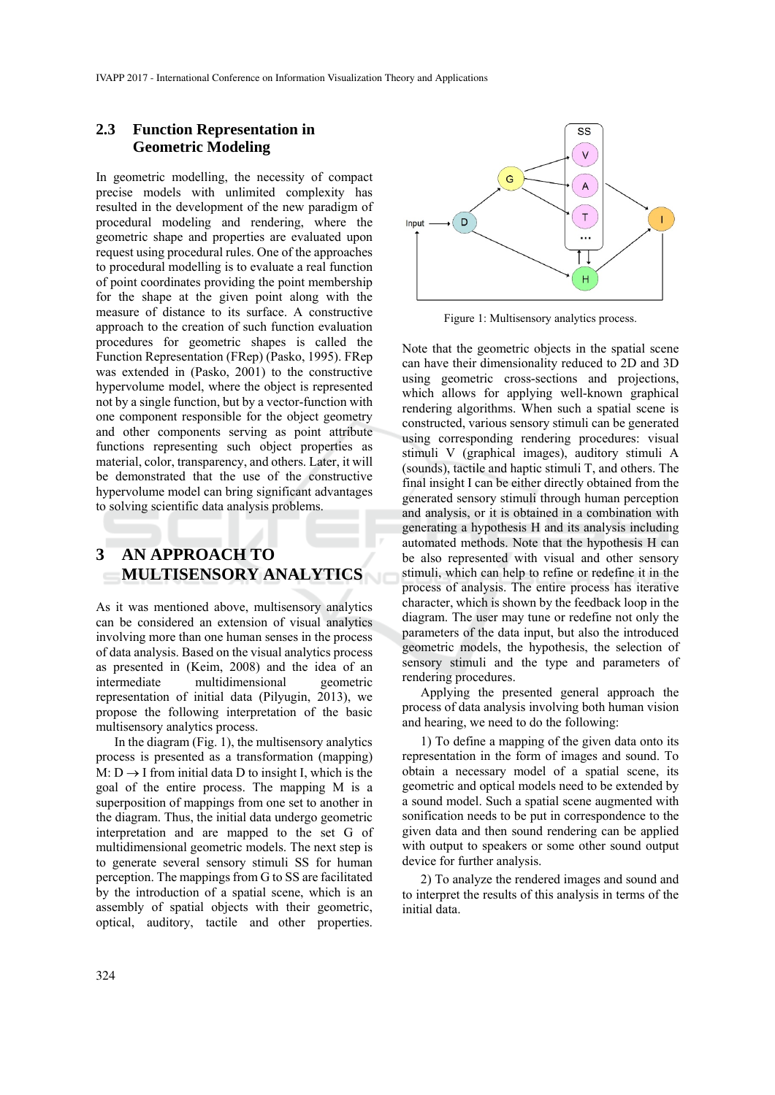### **2.3 Function Representation in Geometric Modeling**

In geometric modelling, the necessity of compact precise models with unlimited complexity has resulted in the development of the new paradigm of procedural modeling and rendering, where the geometric shape and properties are evaluated upon request using procedural rules. One of the approaches to procedural modelling is to evaluate a real function of point coordinates providing the point membership for the shape at the given point along with the measure of distance to its surface. A constructive approach to the creation of such function evaluation procedures for geometric shapes is called the Function Representation (FRep) (Pasko, 1995). FRep was extended in (Pasko, 2001) to the constructive hypervolume model, where the object is represented not by a single function, but by a vector-function with one component responsible for the object geometry and other components serving as point attribute functions representing such object properties as material, color, transparency, and others. Later, it will be demonstrated that the use of the constructive hypervolume model can bring significant advantages to solving scientific data analysis problems.

## **3 AN APPROACH TO MULTISENSORY ANALYTICS**

As it was mentioned above, multisensory analytics can be considered an extension of visual analytics involving more than one human senses in the process of data analysis. Based on the visual analytics process as presented in (Keim, 2008) and the idea of an intermediate multidimensional geometric representation of initial data (Pilyugin, 2013), we propose the following interpretation of the basic multisensory analytics process.

In the diagram (Fig. 1), the multisensory analytics process is presented as a transformation (mapping) M:  $D \rightarrow I$  from initial data D to insight I, which is the goal of the entire process. The mapping M is a superposition of mappings from one set to another in the diagram. Thus, the initial data undergo geometric interpretation and are mapped to the set G of multidimensional geometric models. The next step is to generate several sensory stimuli SS for human perception. The mappings from G to SS are facilitated by the introduction of a spatial scene, which is an assembly of spatial objects with their geometric, optical, auditory, tactile and other properties.



Figure 1: Multisensory analytics process.

Note that the geometric objects in the spatial scene can have their dimensionality reduced to 2D and 3D using geometric cross-sections and projections, which allows for applying well-known graphical rendering algorithms. When such a spatial scene is constructed, various sensory stimuli can be generated using corresponding rendering procedures: visual stimuli V (graphical images), auditory stimuli A (sounds), tactile and haptic stimuli T, and others. The final insight I can be either directly obtained from the generated sensory stimuli through human perception and analysis, or it is obtained in a combination with generating a hypothesis H and its analysis including automated methods. Note that the hypothesis H can be also represented with visual and other sensory stimuli, which can help to refine or redefine it in the process of analysis. The entire process has iterative character, which is shown by the feedback loop in the diagram. The user may tune or redefine not only the parameters of the data input, but also the introduced geometric models, the hypothesis, the selection of sensory stimuli and the type and parameters of rendering procedures.

Applying the presented general approach the process of data analysis involving both human vision and hearing, we need to do the following:

1) To define a mapping of the given data onto its representation in the form of images and sound. To obtain a necessary model of a spatial scene, its geometric and optical models need to be extended by a sound model. Such a spatial scene augmented with sonification needs to be put in correspondence to the given data and then sound rendering can be applied with output to speakers or some other sound output device for further analysis.

2) To analyze the rendered images and sound and to interpret the results of this analysis in terms of the initial data.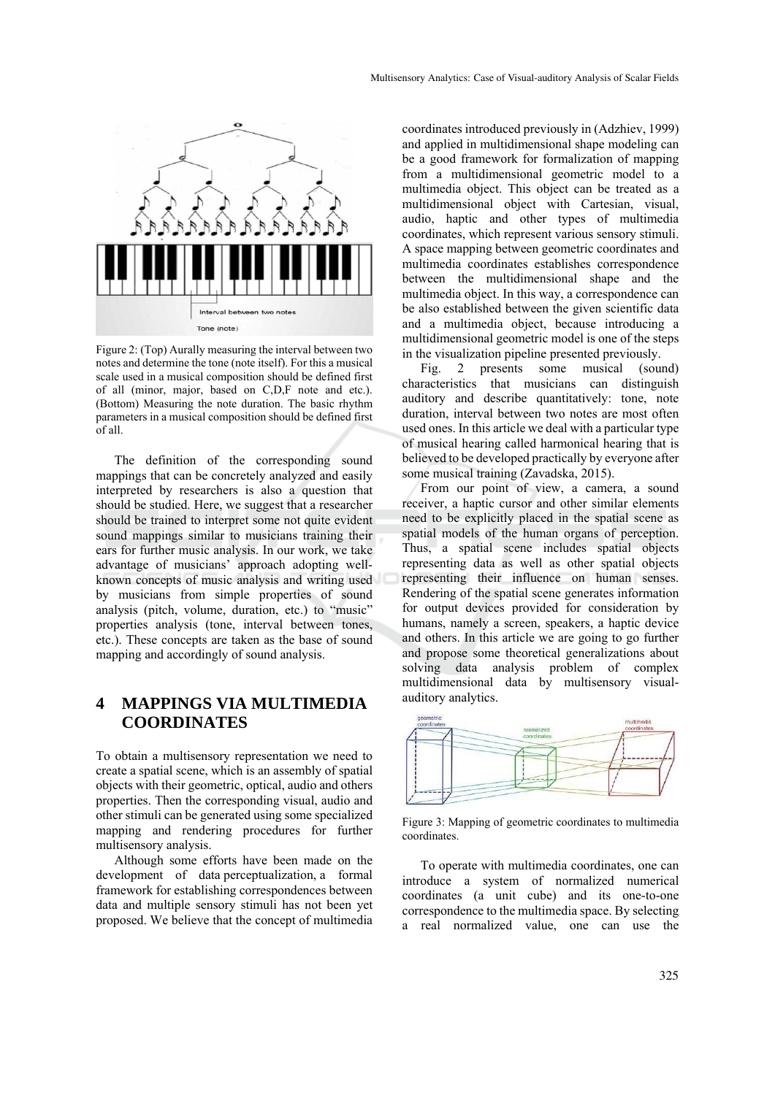

Figure 2: (Top) Aurally measuring the interval between two notes and determine the tone (note itself). For this a musical scale used in a musical composition should be defined first of all (minor, major, based on C,D,F note and etc.). (Bottom) Measuring the note duration. The basic rhythm parameters in a musical composition should be defined first of all.

The definition of the corresponding sound mappings that can be concretely analyzed and easily interpreted by researchers is also a question that should be studied. Here, we suggest that a researcher should be trained to interpret some not quite evident sound mappings similar to musicians training their ears for further music analysis. In our work, we take advantage of musicians' approach adopting wellknown concepts of music analysis and writing used by musicians from simple properties of sound analysis (pitch, volume, duration, etc.) to "music" properties analysis (tone, interval between tones, etc.). These concepts are taken as the base of sound mapping and accordingly of sound analysis.

## **4 MAPPINGS VIA MULTIMEDIA COORDINATES**

To obtain a multisensory representation we need to create a spatial scene, which is an assembly of spatial objects with their geometric, optical, audio and others properties. Then the corresponding visual, audio and other stimuli can be generated using some specialized mapping and rendering procedures for further multisensory analysis.

Although some efforts have been made on the development of data perceptualization, a formal framework for establishing correspondences between data and multiple sensory stimuli has not been yet proposed. We believe that the concept of multimedia

coordinates introduced previously in (Adzhiev, 1999) and applied in multidimensional shape modeling can be a good framework for formalization of mapping from a multidimensional geometric model to a multimedia object. This object can be treated as a multidimensional object with Cartesian, visual, audio, haptic and other types of multimedia coordinates, which represent various sensory stimuli. A space mapping between geometric coordinates and multimedia coordinates establishes correspondence between the multidimensional shape and the multimedia object. In this way, a correspondence can be also established between the given scientific data and a multimedia object, because introducing a multidimensional geometric model is one of the steps in the visualization pipeline presented previously.

Fig. 2 presents some musical (sound) characteristics that musicians can distinguish auditory and describe quantitatively: tone, note duration, interval between two notes are most often used ones. In this article we deal with a particular type of musical hearing called harmonical hearing that is believed to be developed practically by everyone after some musical training (Zavadska, 2015).

From our point of view, a camera, a sound receiver, a haptic cursor and other similar elements need to be explicitly placed in the spatial scene as spatial models of the human organs of perception. Thus, a spatial scene includes spatial objects representing data as well as other spatial objects representing their influence on human senses. Rendering of the spatial scene generates information for output devices provided for consideration by humans, namely a screen, speakers, a haptic device and others. In this article we are going to go further and propose some theoretical generalizations about solving data analysis problem of complex multidimensional data by multisensory visualauditory analytics.



Figure 3: Mapping of geometric coordinates to multimedia coordinates.

To operate with multimedia coordinates, one can introduce a system of normalized numerical coordinates (a unit cube) and its one-to-one correspondence to the multimedia space. By selecting a real normalized value, one can use the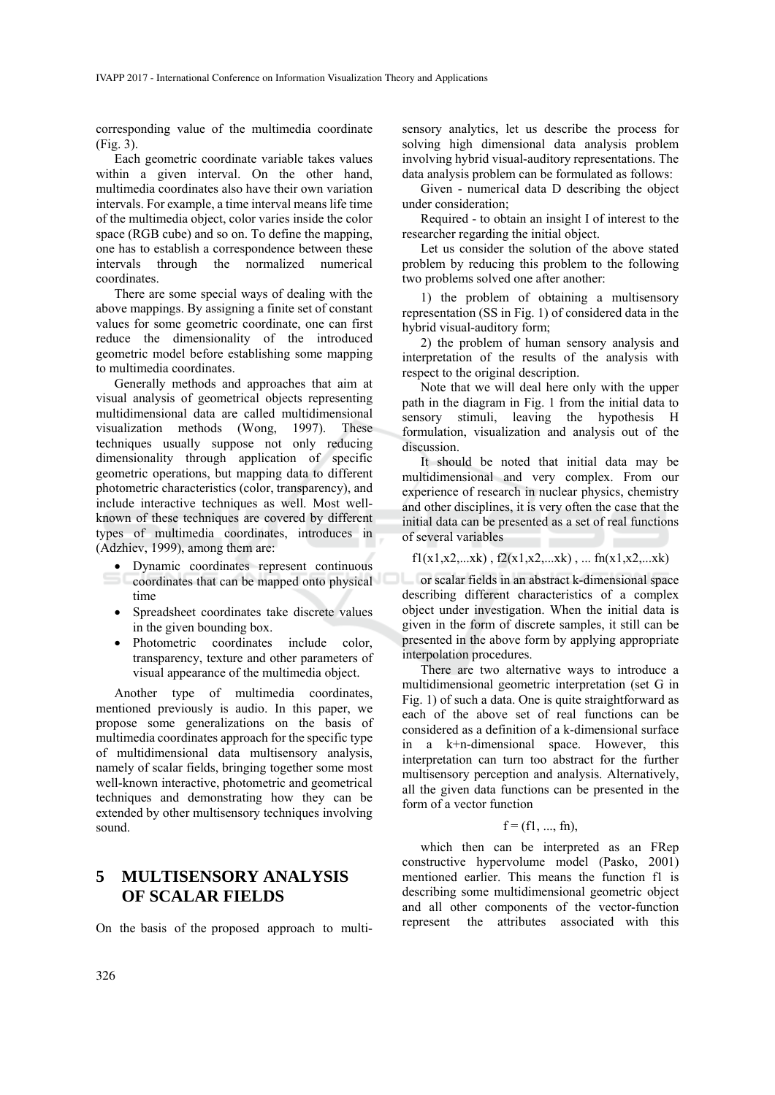corresponding value of the multimedia coordinate (Fig. 3).

Each geometric coordinate variable takes values within a given interval. On the other hand, multimedia coordinates also have their own variation intervals. For example, a time interval means life time of the multimedia object, color varies inside the color space (RGB cube) and so on. To define the mapping, one has to establish a correspondence between these intervals through the normalized numerical coordinates.

There are some special ways of dealing with the above mappings. By assigning a finite set of constant values for some geometric coordinate, one can first reduce the dimensionality of the introduced geometric model before establishing some mapping to multimedia coordinates.

Generally methods and approaches that aim at visual analysis of geometrical objects representing multidimensional data are called multidimensional visualization methods (Wong, 1997). These techniques usually suppose not only reducing dimensionality through application of specific geometric operations, but mapping data to different photometric characteristics (color, transparency), and include interactive techniques as well. Most wellknown of these techniques are covered by different types of multimedia coordinates, introduces in (Adzhiev, 1999), among them are:

- Dynamic coordinates represent continuous time
- Spreadsheet coordinates take discrete values in the given bounding box.
- Photometric coordinates include color, transparency, texture and other parameters of visual appearance of the multimedia object.

Another type of multimedia coordinates, mentioned previously is audio. In this paper, we propose some generalizations on the basis of multimedia coordinates approach for the specific type of multidimensional data multisensory analysis, namely of scalar fields, bringing together some most well-known interactive, photometric and geometrical techniques and demonstrating how they can be extended by other multisensory techniques involving sound.

## **5 MULTISENSORY ANALYSIS OF SCALAR FIELDS**

On the basis of the proposed approach to multi-

sensory analytics, let us describe the process for solving high dimensional data analysis problem involving hybrid visual-auditory representations. The data analysis problem can be formulated as follows:

Given - numerical data D describing the object under consideration;

Required - to obtain an insight I of interest to the researcher regarding the initial object.

Let us consider the solution of the above stated problem by reducing this problem to the following two problems solved one after another:

1) the problem of obtaining a multisensory representation (SS in Fig. 1) of considered data in the hybrid visual-auditory form;

2) the problem of human sensory analysis and interpretation of the results of the analysis with respect to the original description.

Note that we will deal here only with the upper path in the diagram in Fig. 1 from the initial data to sensory stimuli, leaving the hypothesis H formulation, visualization and analysis out of the discussion.

It should be noted that initial data may be multidimensional and very complex. From our experience of research in nuclear physics, chemistry and other disciplines, it is very often the case that the initial data can be presented as a set of real functions of several variables

 $f1(x1,x2,...xk)$ ,  $f2(x1,x2,...xk)$ , ...  $fn(x1,x2,...xk)$ 

coordinates that can be mapped onto physical or scalar fields in an abstract k-dimensional space describing different characteristics of a complex object under investigation. When the initial data is given in the form of discrete samples, it still can be presented in the above form by applying appropriate interpolation procedures.

There are two alternative ways to introduce a multidimensional geometric interpretation (set G in Fig. 1) of such a data. One is quite straightforward as each of the above set of real functions can be considered as a definition of a k-dimensional surface in a k+n-dimensional space. However, this interpretation can turn too abstract for the further multisensory perception and analysis. Alternatively, all the given data functions can be presented in the form of a vector function

#### $f = (f1, ..., fr)$ ,

which then can be interpreted as an FRep constructive hypervolume model (Pasko, 2001) mentioned earlier. This means the function f1 is describing some multidimensional geometric object and all other components of the vector-function represent the attributes associated with this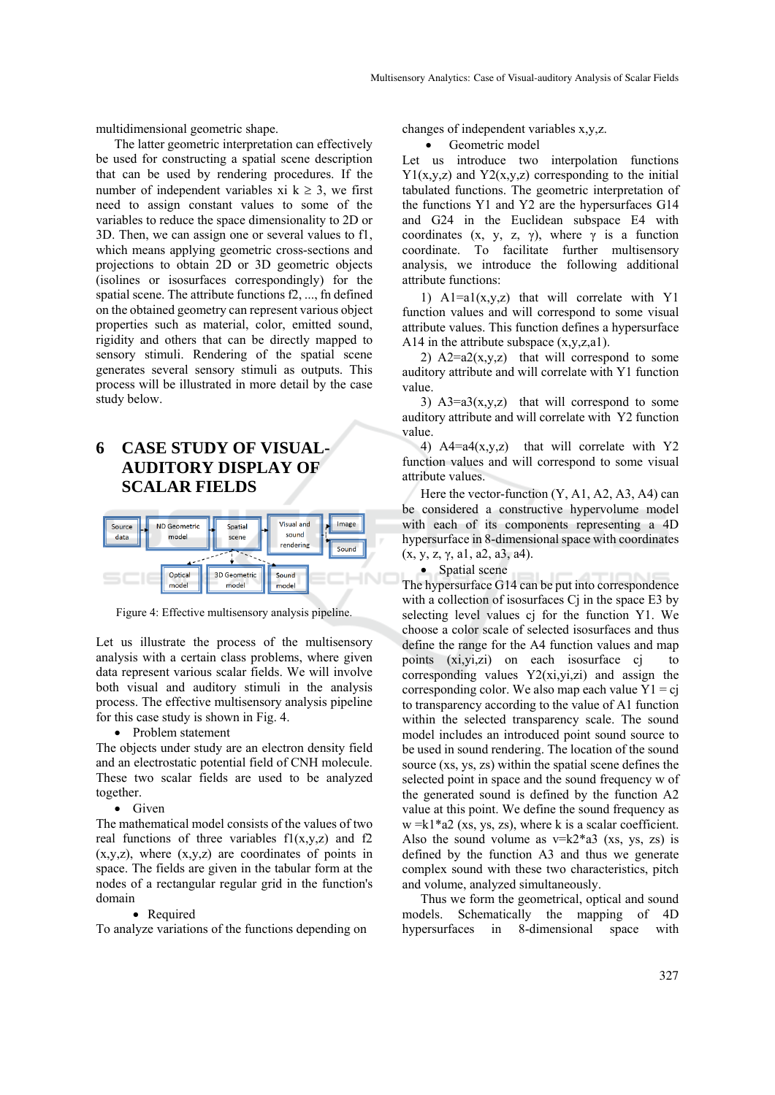multidimensional geometric shape.

The latter geometric interpretation can effectively be used for constructing a spatial scene description that can be used by rendering procedures. If the number of independent variables xi  $k \geq 3$ , we first need to assign constant values to some of the variables to reduce the space dimensionality to 2D or 3D. Then, we can assign one or several values to f1, which means applying geometric cross-sections and projections to obtain 2D or 3D geometric objects (isolines or isosurfaces correspondingly) for the spatial scene. The attribute functions f2, ..., fn defined on the obtained geometry can represent various object properties such as material, color, emitted sound, rigidity and others that can be directly mapped to sensory stimuli. Rendering of the spatial scene generates several sensory stimuli as outputs. This process will be illustrated in more detail by the case study below.

# **6 CASE STUDY OF VISUAL-AUDITORY DISPLAY OF SCALAR FIELDS**



Figure 4: Effective multisensory analysis pipeline.

Let us illustrate the process of the multisensory analysis with a certain class problems, where given data represent various scalar fields. We will involve both visual and auditory stimuli in the analysis process. The effective multisensory analysis pipeline for this case study is shown in Fig. 4.

• Problem statement

The objects under study are an electron density field and an electrostatic potential field of CNH molecule. These two scalar fields are used to be analyzed together.

 $\bullet$  Given

The mathematical model consists of the values of two real functions of three variables  $f(x,y,z)$  and  $f(z)$  $(x,y,z)$ , where  $(x,y,z)$  are coordinates of points in space. The fields are given in the tabular form at the nodes of a rectangular regular grid in the function's domain

#### • Required

To analyze variations of the functions depending on

changes of independent variables x,y,z.

Geometric model

Let us introduce two interpolation functions  $Y1(x,y,z)$  and  $Y2(x,y,z)$  corresponding to the initial tabulated functions. The geometric interpretation of the functions Y1 and Y2 are the hypersurfaces G14 and G24 in the Euclidean subspace E4 with coordinates (x, y, z,  $\gamma$ ), where  $\gamma$  is a function coordinate. To facilitate further multisensory analysis, we introduce the following additional attribute functions:

1)  $A1=a1(x,y,z)$  that will correlate with Y1 function values and will correspond to some visual attribute values. This function defines a hypersurface A14 in the attribute subspace  $(x,y,z,a1)$ .

2)  $A2=a2(x,y,z)$  that will correspond to some auditory attribute and will correlate with Y1 function value.

3)  $A3=a3(x,y,z)$  that will correspond to some auditory attribute and will correlate with Y2 function value.

4)  $A4=a4(x,y,z)$  that will correlate with Y2 function values and will correspond to some visual attribute values.

Here the vector-function  $(Y, A1, A2, A3, A4)$  can be considered a constructive hypervolume model with each of its components representing a 4D hypersurface in 8-dimensional space with coordinates  $(x, y, z, \gamma, a1, a2, a3, a4)$ .



The hypersurface G14 can be put into correspondence with a collection of isosurfaces Cj in the space E3 by selecting level values cj for the function Y1. We choose a color scale of selected isosurfaces and thus define the range for the A4 function values and map points (xi,yi,zi) on each isosurface cj to corresponding values  $Y2(xi,yi,zi)$  and assign the corresponding color. We also map each value  $Y1 = cj$ to transparency according to the value of A1 function within the selected transparency scale. The sound model includes an introduced point sound source to be used in sound rendering. The location of the sound source (xs, ys, zs) within the spatial scene defines the selected point in space and the sound frequency w of the generated sound is defined by the function A2 value at this point. We define the sound frequency as  $w = k1*a2$  (xs, ys, zs), where k is a scalar coefficient. Also the sound volume as  $v=k2*a3$  (xs, ys, zs) is defined by the function A3 and thus we generate complex sound with these two characteristics, pitch and volume, analyzed simultaneously.

Thus we form the geometrical, optical and sound models. Schematically the mapping of 4D hypersurfaces in 8-dimensional space with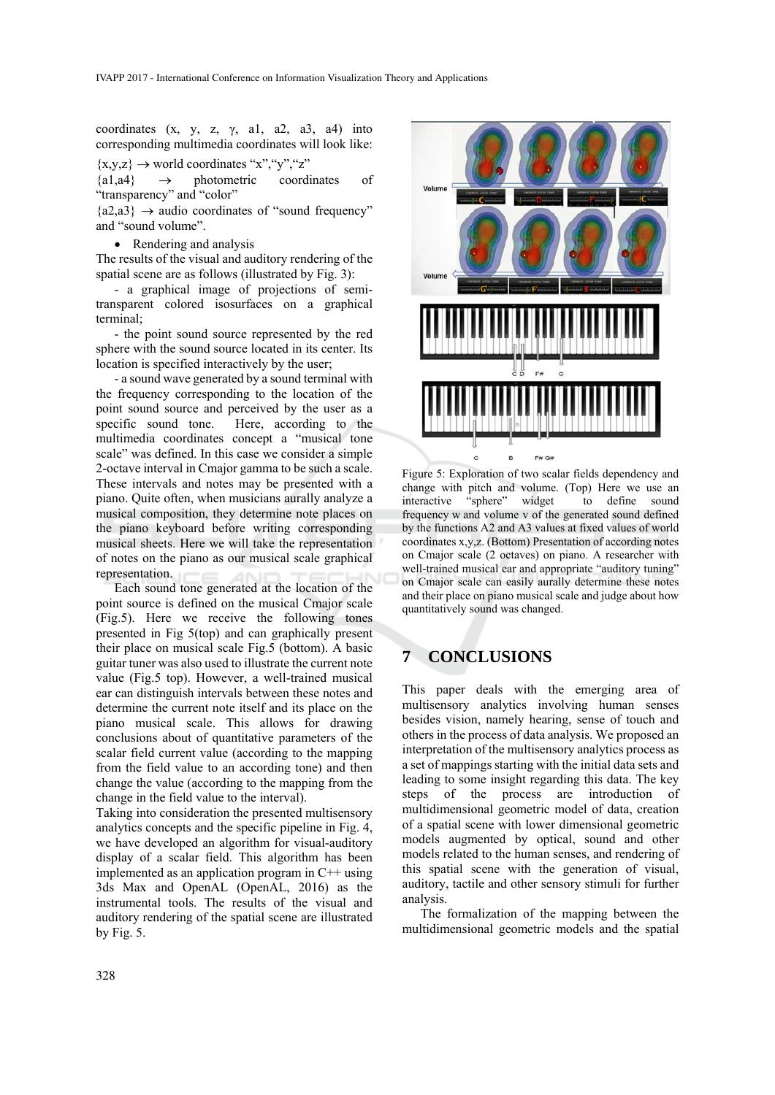coordinates  $(x, y, z, \gamma, a1, a2, a3, a4)$  into corresponding multimedia coordinates will look like:

 $\{x,y,z\} \rightarrow$  world coordinates "x", "y", "z"

 ${a1,a4} \rightarrow$  photometric coordinates of "transparency" and "color"

 ${a2,a3} \rightarrow$  audio coordinates of "sound frequency" and "sound volume".

• Rendering and analysis

The results of the visual and auditory rendering of the spatial scene are as follows (illustrated by Fig. 3):

- a graphical image of projections of semitransparent colored isosurfaces on a graphical terminal;

- the point sound source represented by the red sphere with the sound source located in its center. Its location is specified interactively by the user;

- a sound wave generated by a sound terminal with the frequency corresponding to the location of the point sound source and perceived by the user as a specific sound tone. Here, according to the multimedia coordinates concept a "musical tone scale" was defined. In this case we consider a simple 2-octave interval in Cmajor gamma to be such a scale. These intervals and notes may be presented with a piano. Quite often, when musicians aurally analyze a musical composition, they determine note places on the piano keyboard before writing corresponding musical sheets. Here we will take the representation of notes on the piano as our musical scale graphical representation.

Each sound tone generated at the location of the point source is defined on the musical Cmajor scale (Fig.5). Here we receive the following tones presented in Fig 5(top) and can graphically present their place on musical scale Fig.5 (bottom). A basic guitar tuner was also used to illustrate the current note value (Fig.5 top). However, a well-trained musical ear can distinguish intervals between these notes and determine the current note itself and its place on the piano musical scale. This allows for drawing conclusions about of quantitative parameters of the scalar field current value (according to the mapping from the field value to an according tone) and then change the value (according to the mapping from the change in the field value to the interval).

Taking into consideration the presented multisensory analytics concepts and the specific pipeline in Fig. 4, we have developed an algorithm for visual-auditory display of a scalar field. This algorithm has been implemented as an application program in C++ using 3ds Max and OpenAL (OpenAL, 2016) as the instrumental tools. The results of the visual and auditory rendering of the spatial scene are illustrated by Fig. 5.



Figure 5: Exploration of two scalar fields dependency and change with pitch and volume. (Top) Here we use an interactive "sphere" widget to define sound interactive "sphere" widget to define sound frequency w and volume v of the generated sound defined by the functions A2 and A3 values at fixed values of world coordinates x,y,z. (Bottom) Presentation of according notes on Cmajor scale (2 octaves) on piano. A researcher with well-trained musical ear and appropriate "auditory tuning" on Cmajor scale can easily aurally determine these notes and their place on piano musical scale and judge about how quantitatively sound was changed.

# **7 CONCLUSIONS**

This paper deals with the emerging area of multisensory analytics involving human senses besides vision, namely hearing, sense of touch and others in the process of data analysis. We proposed an interpretation of the multisensory analytics process as a set of mappings starting with the initial data sets and leading to some insight regarding this data. The key steps of the process are introduction of multidimensional geometric model of data, creation of a spatial scene with lower dimensional geometric models augmented by optical, sound and other models related to the human senses, and rendering of this spatial scene with the generation of visual, auditory, tactile and other sensory stimuli for further analysis.

The formalization of the mapping between the multidimensional geometric models and the spatial